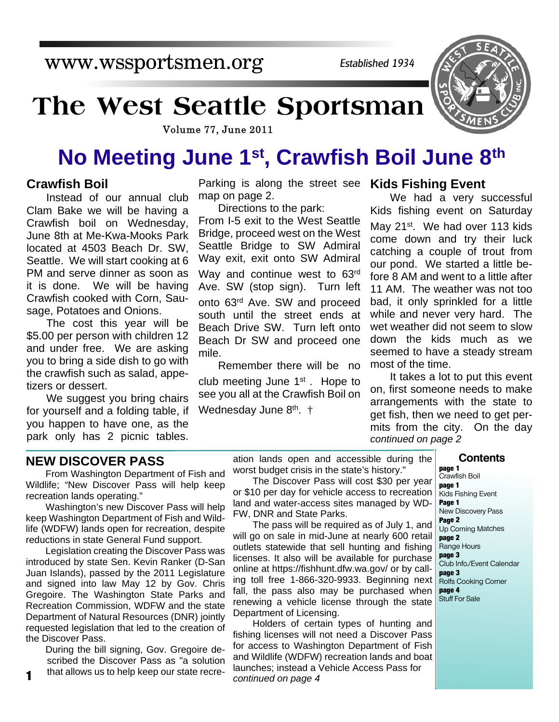www.wssportsmen.org

*Established 1934*

# **The West Seattle Sportsman**

Volume 77, June 2011

# **No Meeting June 1st, Crawfish Boil June 8th**

## **Crawfish Boil**

Instead of our annual club Clam Bake we will be having a Crawfish boil on Wednesday, June 8th at Me-Kwa-Mooks Park located at 4503 Beach Dr. SW, Seattle. We will start cooking at 6 PM and serve dinner as soon as it is done. We will be having Crawfish cooked with Corn, Sausage, Potatoes and Onions.

The cost this year will be \$5.00 per person with children 12 and under free. We are asking you to bring a side dish to go with the crawfish such as salad, appetizers or dessert.

We suggest you bring chairs for yourself and a folding table, if you happen to have one, as the park only has 2 picnic tables.

Parking is along the street see **Kids Fishing Event** map on page 2.

Directions to the park: From I-5 exit to the West Seattle Bridge, proceed west on the West Seattle Bridge to SW Admiral Way exit, exit onto SW Admiral Way and continue west to 63<sup>rd</sup> Ave. SW (stop sign). Turn left onto 63rd Ave. SW and proceed south until the street ends at Beach Drive SW. Turn left onto Beach Dr SW and proceed one mile.

Remember there will be no club meeting June 1st . Hope to see you all at the Crawfish Boil on Wednesday June 8<sup>th</sup>. †

We had a very successful Kids fishing event on Saturday

May 21<sup>st</sup>. We had over 113 kids come down and try their luck catching a couple of trout from our pond. We started a little before 8 AM and went to a little after 11 AM. The weather was not too bad, it only sprinkled for a little while and never very hard. The wet weather did not seem to slow down the kids much as we seemed to have a steady stream most of the time.

It takes a lot to put this event on, first someone needs to make arrangements with the state to get fish, then we need to get permits from the city. On the day *continued on page 2*

#### **NEW DISCOVER PASS**

From Washington Department of Fish and Wildlife; "New Discover Pass will help keep recreation lands operating."

Washington's new Discover Pass will help keep Washington Department of Fish and Wildlife (WDFW) lands open for recreation, despite reductions in state General Fund support.

Legislation creating the Discover Pass was introduced by state Sen. Kevin Ranker (D-San Juan Islands), passed by the 2011 Legislature and signed into law May 12 by Gov. Chris Gregoire. The Washington State Parks and Recreation Commission, WDFW and the state Department of Natural Resources (DNR) jointly requested legislation that led to the creation of the Discover Pass.

During the bill signing, Gov. Gregoire described the Discover Pass as "a solution

ation lands open and accessible during the worst budget crisis in the state's history."

The Discover Pass will cost \$30 per year or \$10 per day for vehicle access to recreation land and water-access sites managed by WD-FW, DNR and State Parks.

The pass will be required as of July 1, and will go on sale in mid-June at nearly 600 retail outlets statewide that sell hunting and fishing licenses. It also will be available for purchase online at https://fishhunt.dfw.wa.gov/ or by calling toll free 1-866-320-9933. Beginning next fall, the pass also may be purchased when renewing a vehicle license through the state Department of Licensing.

that allows us to help keep our state recre-launches; instead a Vehicle Access Pass for **<sup>1</sup>** *continued on page 4* Holders of certain types of hunting and fishing licenses will not need a Discover Pass for access to Washington Department of Fish and Wildlife (WDFW) recreation lands and boat

#### **Contents**

**page 1** Crawfish Boil **page 1** Kids Fishing Event **Page 1** New Discovery Pass **Page 2** Up Coming Matches **page 2** Range Hours **page 3** Club Info./Event Calendar **page 3** Rolfs Cooking Corner **page 4** Stuff For Sale

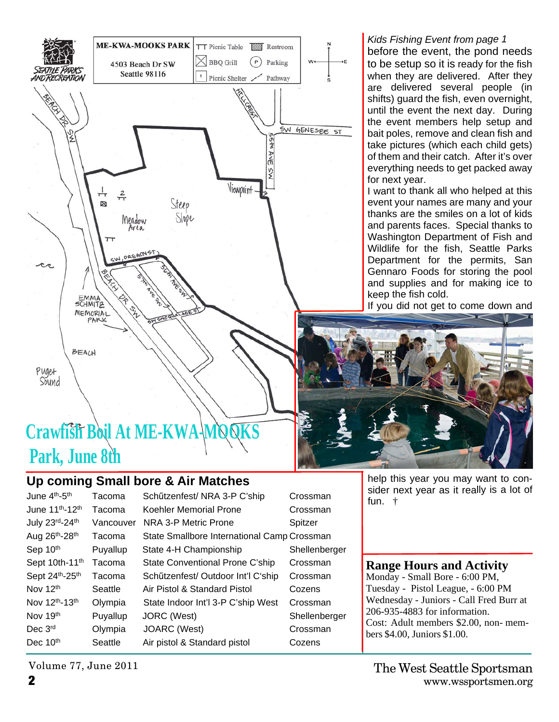

#### before the event, the pond needs to be setup so it is ready for the fish when they are delivered. After they are delivered several people (in shifts) guard the fish, even overnight, until the event the next day. During the event members help setup and

*Kids Fishing Event from page 1*

bait poles, remove and clean fish and take pictures (which each child gets) of them and their catch. After it's over everything needs to get packed away for next year.

I want to thank all who helped at this event your names are many and your thanks are the smiles on a lot of kids and parents faces. Special thanks to Washington Department of Fish and Wildlife for the fish, Seattle Parks Department for the permits, San Gennaro Foods for storing the pool and supplies and for making ice to keep the fish cold.

If you did not get to come down and



help this year you may want to consider next year as it really is a lot of fun. †

## **Range Hours and Activity**

Monday - Small Bore - 6:00 PM, Tuesday - Pistol League, - 6:00 PM Wednesday - Juniors - Call Fred Burr at 206-935-4883 for information. Cost: Adult members \$2.00, non- members \$4.00, Juniors \$1.00.

# **Crawfish Boil At ME-KWA- Park, June 8th**

## **Up coming Small bore & Air Matches**

| June 4 <sup>th</sup> -5 <sup>th</sup>   | Tacoma    | Schützenfest/ NRA 3-P C'ship                | Crossman      |
|-----------------------------------------|-----------|---------------------------------------------|---------------|
| June 11 <sup>th</sup> -12 <sup>th</sup> | Tacoma    | Koehler Memorial Prone                      | Crossman      |
| July 23rd-24th                          | Vancouver | NRA 3-P Metric Prone                        | Spitzer       |
| Aug 26 <sup>th</sup> -28 <sup>th</sup>  | Tacoma    | State Smallbore International Camp Crossman |               |
| Sep 10 <sup>th</sup>                    | Puyallup  | State 4-H Championship                      | Shellenberger |
| Sept 10th-11 <sup>th</sup>              | Tacoma    | State Conventional Prone C'ship             | Crossman      |
| Sept 24 <sup>th</sup> -25 <sup>th</sup> | Tacoma    | Schützenfest/ Outdoor Int'l C'ship          | Crossman      |
| Nov 12 <sup>th</sup>                    | Seattle   | Air Pistol & Standard Pistol                | Cozens        |
| Nov 12 <sup>th</sup> -13 <sup>th</sup>  | Olympia   | State Indoor Int'l 3-P C'ship West          | Crossman      |
| Nov 19 <sup>th</sup>                    | Puyallup  | JORC (West)                                 | Shellenberger |
| Dec $3^{\mathsf{rd}}$                   | Olympia   | JOARC (West)                                | Crossman      |
| Dec 10th                                | Seattle   | Air pistol & Standard pistol                | Cozens        |
|                                         |           |                                             |               |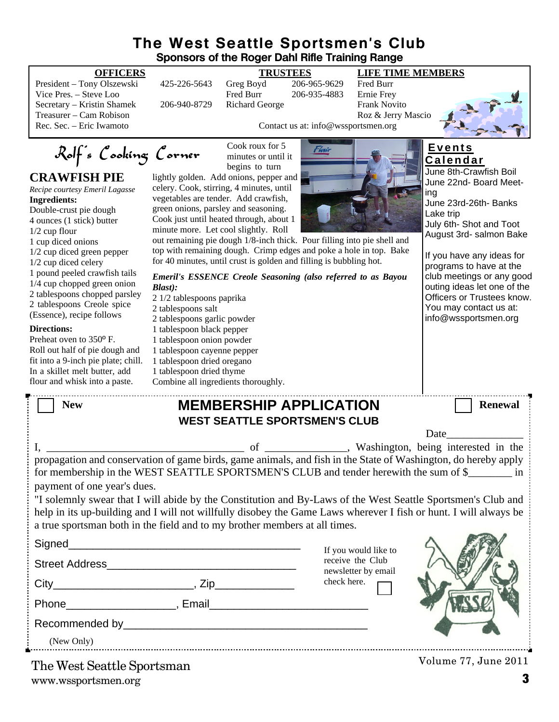## **The West Seattle Sportsmen's Club Sponsors of the Roger Dahl Rifle Training Range**

President – Tony Olszewski 425-226-5643 Greg Boyd 206-965-9629 Fred Burr Vice Pres. – Steve Loo Fred Burr 206-935-4883 Secretary – Kristin Shamek 206-940-8729 Richard George Frank Novito Treasurer – Cam Robison Roz & Jerry Mascio

# Rolf's Cooking Corner

## **CRAWFISH PIE**

*Recipe courtesy Emeril Lagasse* **Ingredients:** Double-crust pie dough 4 ounces (1 stick) butter 1/2 cup flour 1 cup diced onions 1/2 cup diced green pepper 1/2 cup diced celery 1 pound peeled crawfish tails 1/4 cup chopped green onion 2 tablespoons chopped parsley 2 tablespoons Creole spice (Essence), recipe follows

#### **Directions:**

Preheat oven to 350º F. Roll out half of pie dough and fit into a 9-inch pie plate; chill. In a skillet melt butter, add flour and whisk into a paste.

### **OFFICERS TRUSTEES LIFE TIME MEMBERS**



Contact us at: info@wssportsmen.org

Cook roux for 5 minutes or until it begins to turn

lightly golden. Add onions, pepper and celery. Cook, stirring, 4 minutes, until vegetables are tender. Add crawfish, green onions, parsley and seasoning. Cook just until heated through, about 1 minute more. Let cool slightly. Roll



out remaining pie dough  $1/8$ -inch thick. Pour filling into pie shell and top with remaining dough. Crimp edges and poke a hole in top. Ba for 40 minutes, until crust is golden and filling is bubbling hot.

| Emeril's ESSENCE Creole Seasoning (also referred to as Bayou | ۳۰<br>clı |
|--------------------------------------------------------------|-----------|
| <b>Blast</b> ):                                              | οι        |
| 2 1/2 tablespoons paprika                                    | O         |
| 2 tablespoons salt                                           | Yι        |
| 2 tablespoons garlic powder                                  | int       |
| 1 tablespoon black pepper                                    |           |
| 1 tablespoon onion powder                                    |           |
| 1 tablespoon cayenne pepper                                  |           |
| 1 tablespoon dried oregano                                   |           |
| 1 tablespoon dried thyme                                     |           |
| Combine all ingredients thoroughly.                          |           |
|                                                              |           |

# **E v e n t s**

| <b>Calendar</b>           |  |  |  |
|---------------------------|--|--|--|
| June 8th-Crawfish Boil    |  |  |  |
| June 22nd- Board Meet-    |  |  |  |
| ing                       |  |  |  |
| June 23rd-26th- Banks     |  |  |  |
| Lake trip                 |  |  |  |
| July 6th- Shot and Toot   |  |  |  |
| August 3rd- salmon Bake   |  |  |  |
|                           |  |  |  |
| If you have any ideas for |  |  |  |
|                           |  |  |  |

programs to have at the ub meetings or any good iting ideas let one of the fficers or Trustees know. ou may contact us at: fo@wssportsmen.org

| New | <b>MEMBERSHIP APPLICATION</b> | <b>Renewal</b> |
|-----|-------------------------------|----------------|
|     |                               |                |

|                                                                                                                                                                                                                                                                                                                | <b>WEST SEATTLE SPORTSMEN'S CLUB</b> |                                         |                                                                                                                                                                                                                               |
|----------------------------------------------------------------------------------------------------------------------------------------------------------------------------------------------------------------------------------------------------------------------------------------------------------------|--------------------------------------|-----------------------------------------|-------------------------------------------------------------------------------------------------------------------------------------------------------------------------------------------------------------------------------|
|                                                                                                                                                                                                                                                                                                                |                                      |                                         | Date and the same state of the state of the state of the state of the state of the state of the state of the state of the state of the state of the state of the state of the state of the state of the state of the state of |
| propagation and conservation of game birds, game animals, and fish in the State of Washington, do hereby apply                                                                                                                                                                                                 |                                      |                                         |                                                                                                                                                                                                                               |
| for membership in the WEST SEATTLE SPORTSMEN'S CLUB and tender herewith the sum of \$<br>payment of one year's dues.                                                                                                                                                                                           |                                      |                                         |                                                                                                                                                                                                                               |
| "I solemnly swear that I will abide by the Constitution and By-Laws of the West Seattle Sportsmen's Club and<br>help in its up-building and I will not willfully disobey the Game Laws wherever I fish or hunt. I will always be<br>a true sportsman both in the field and to my brother members at all times. |                                      |                                         |                                                                                                                                                                                                                               |
|                                                                                                                                                                                                                                                                                                                |                                      | If you would like to                    |                                                                                                                                                                                                                               |
|                                                                                                                                                                                                                                                                                                                |                                      | receive the Club<br>newsletter by email |                                                                                                                                                                                                                               |
|                                                                                                                                                                                                                                                                                                                |                                      | check here.                             |                                                                                                                                                                                                                               |
| Phone Representation of the Representation of the Representation of the Representation of the Representation of the Representation of the Representation of the Representation of the Representation of the Representation of                                                                                  |                                      |                                         |                                                                                                                                                                                                                               |
| Recommended by                                                                                                                                                                                                                                                                                                 |                                      |                                         |                                                                                                                                                                                                                               |

Recommended by

(New Only)

www.wssportsmen.org **3** The West Seattle Sportsman

Volume 77, June 2011